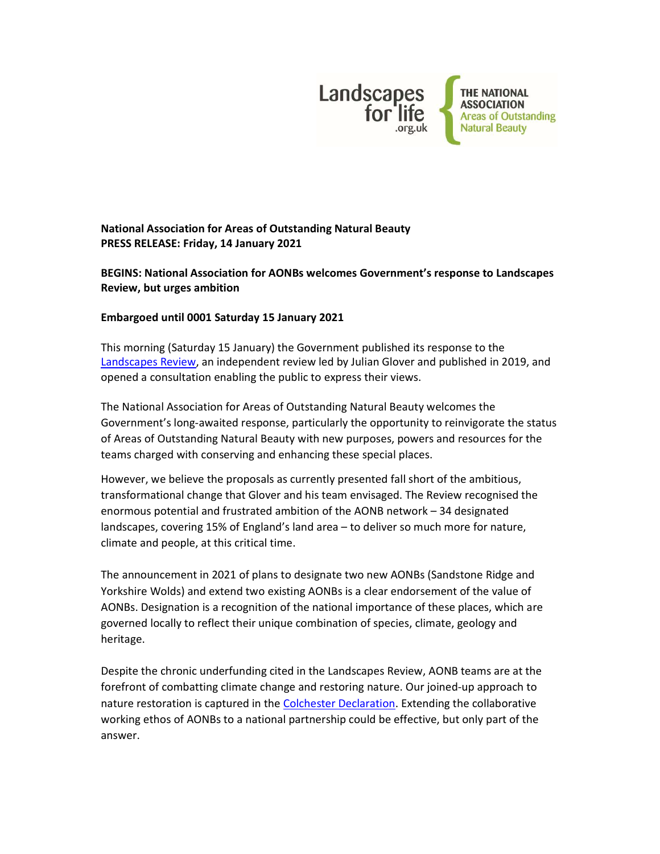

# National Association for Areas of Outstanding Natural Beauty PRESS RELEASE: Friday, 14 January 2021

### BEGINS: National Association for AONBs welcomes Government's response to Landscapes Review, but urges ambition

### Embargoed until 0001 Saturday 15 January 2021

This morning (Saturday 15 January) the Government published its response to the Landscapes Review, an independent review led by Julian Glover and published in 2019, and opened a consultation enabling the public to express their views.

The National Association for Areas of Outstanding Natural Beauty welcomes the Government's long-awaited response, particularly the opportunity to reinvigorate the status of Areas of Outstanding Natural Beauty with new purposes, powers and resources for the teams charged with conserving and enhancing these special places.

However, we believe the proposals as currently presented fall short of the ambitious, transformational change that Glover and his team envisaged. The Review recognised the enormous potential and frustrated ambition of the AONB network – 34 designated landscapes, covering 15% of England's land area – to deliver so much more for nature, climate and people, at this critical time.

The announcement in 2021 of plans to designate two new AONBs (Sandstone Ridge and Yorkshire Wolds) and extend two existing AONBs is a clear endorsement of the value of AONBs. Designation is a recognition of the national importance of these places, which are governed locally to reflect their unique combination of species, climate, geology and heritage.

Despite the chronic underfunding cited in the Landscapes Review, AONB teams are at the forefront of combatting climate change and restoring nature. Our joined-up approach to nature restoration is captured in the Colchester Declaration. Extending the collaborative working ethos of AONBs to a national partnership could be effective, but only part of the answer.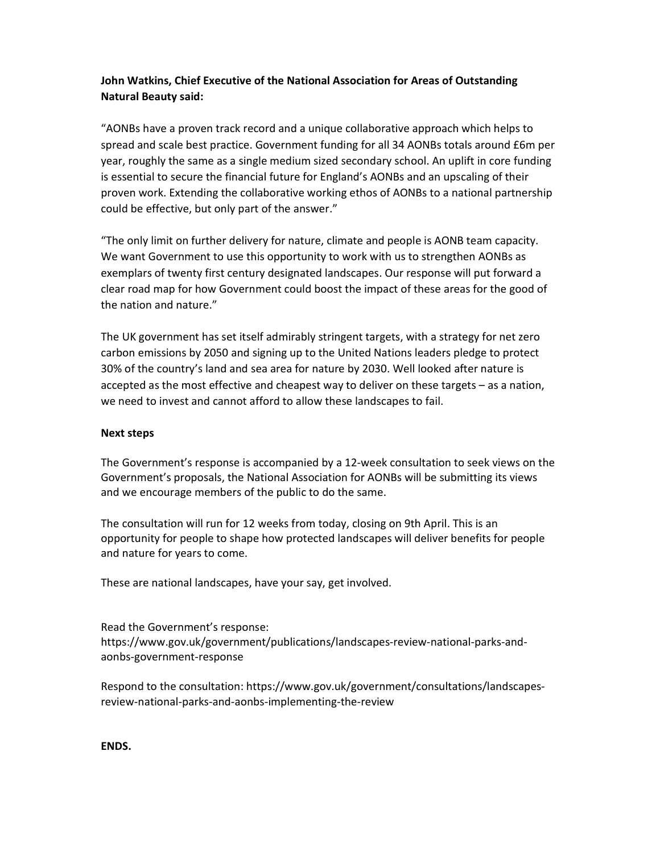# John Watkins, Chief Executive of the National Association for Areas of Outstanding Natural Beauty said:

"AONBs have a proven track record and a unique collaborative approach which helps to spread and scale best practice. Government funding for all 34 AONBs totals around £6m per year, roughly the same as a single medium sized secondary school. An uplift in core funding is essential to secure the financial future for England's AONBs and an upscaling of their proven work. Extending the collaborative working ethos of AONBs to a national partnership could be effective, but only part of the answer."

"The only limit on further delivery for nature, climate and people is AONB team capacity. We want Government to use this opportunity to work with us to strengthen AONBs as exemplars of twenty first century designated landscapes. Our response will put forward a clear road map for how Government could boost the impact of these areas for the good of the nation and nature."

The UK government has set itself admirably stringent targets, with a strategy for net zero carbon emissions by 2050 and signing up to the United Nations leaders pledge to protect 30% of the country's land and sea area for nature by 2030. Well looked after nature is accepted as the most effective and cheapest way to deliver on these targets – as a nation, we need to invest and cannot afford to allow these landscapes to fail.

#### Next steps

The Government's response is accompanied by a 12-week consultation to seek views on the Government's proposals, the National Association for AONBs will be submitting its views and we encourage members of the public to do the same.

The consultation will run for 12 weeks from today, closing on 9th April. This is an opportunity for people to shape how protected landscapes will deliver benefits for people and nature for years to come.

These are national landscapes, have your say, get involved.

Read the Government's response: https://www.gov.uk/government/publications/landscapes-review-national-parks-andaonbs-government-response

Respond to the consultation: https://www.gov.uk/government/consultations/landscapesreview-national-parks-and-aonbs-implementing-the-review

ENDS.